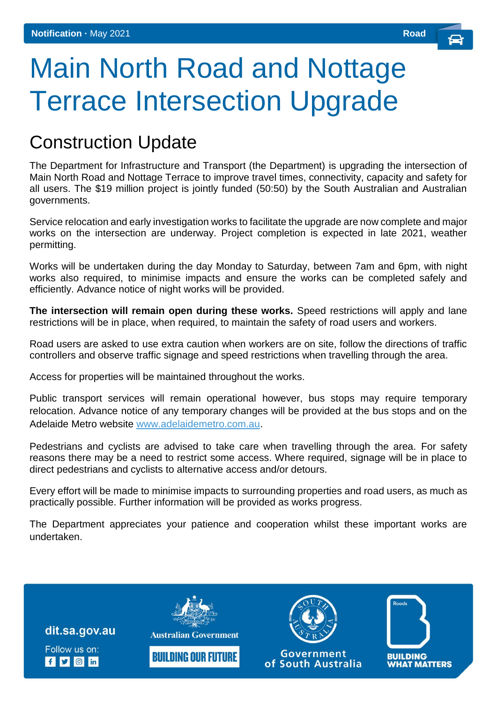## Main North Road and Nottage Terrace Intersection Upgrade

## Construction Update

The Department for Infrastructure and Transport (the Department) is upgrading the intersection of Main North Road and Nottage Terrace to improve travel times, connectivity, capacity and safety for all users. The \$19 million project is jointly funded (50:50) by the South Australian and Australian governments.

Service relocation and early investigation works to facilitate the upgrade are now complete and major works on the intersection are underway. Project completion is expected in late 2021, weather permitting.

Works will be undertaken during the day Monday to Saturday, between 7am and 6pm, with night works also required, to minimise impacts and ensure the works can be completed safely and efficiently. Advance notice of night works will be provided.

**The intersection will remain open during these works.** Speed restrictions will apply and lane restrictions will be in place, when required, to maintain the safety of road users and workers.

Road users are asked to use extra caution when workers are on site, follow the directions of traffic controllers and observe traffic signage and speed restrictions when travelling through the area.

Access for properties will be maintained throughout the works.

Public transport services will remain operational however, bus stops may require temporary relocation. Advance notice of any temporary changes will be provided at the bus stops and on the Adelaide Metro website [www.adelaidemetro.com.au.](http://www.adelaidemetro.com.au/)

Pedestrians and cyclists are advised to take care when travelling through the area. For safety reasons there may be a need to restrict some access. Where required, signage will be in place to direct pedestrians and cyclists to alternative access and/or detours.

Every effort will be made to minimise impacts to surrounding properties and road users, as much as practically possible. Further information will be provided as works progress.

The Department appreciates your patience and cooperation whilst these important works are undertaken.